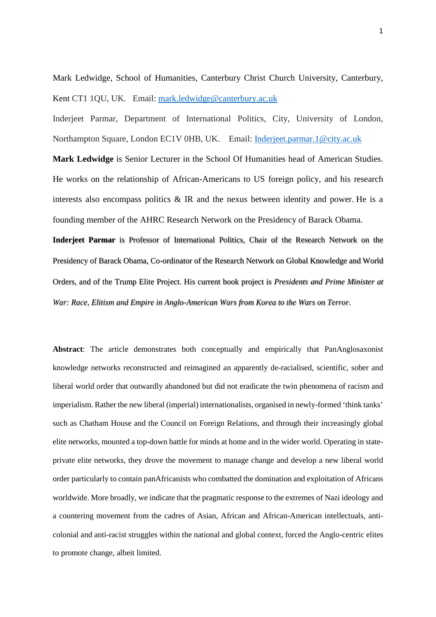Mark Ledwidge, School of Humanities, Canterbury Christ Church University, Canterbury, Kent CT1 1QU, UK. Email: [mark.ledwidge@canterbury.ac.uk](mailto:mark.ledwidge@canterbury.ac.uk)

Inderjeet Parmar, Department of International Politics, City, University of London, Northampton Square, London EC1V 0HB, UK. Email: [Inderjeet.parmar.1@city.ac.uk](mailto:Inderjeet.parmar.1@city.ac.uk)

**Mark Ledwidge** is Senior Lecturer in the School Of Humanities head of American Studies. He works on the relationship of African-Americans to US foreign policy, and his research interests also encompass politics & IR and the nexus between identity and power. He is a founding member of the AHRC Research Network on the Presidency of Barack Obama.

**Inderjeet Parmar** is Professor of International Politics, Chair of the Research Network on the Presidency of Barack Obama, Co-ordinator of the Research Network on Global Knowledge and World Orders, and of the Trump Elite Project. His current book project is *Presidents and Prime Minister at War: Race, Elitism and Empire in Anglo-American Wars from Korea to the Wars on Terror*.

**Abstract**: The article demonstrates both conceptually and empirically that PanAnglosaxonist knowledge networks reconstructed and reimagined an apparently de-racialised, scientific, sober and liberal world order that outwardly abandoned but did not eradicate the twin phenomena of racism and imperialism. Rather the new liberal (imperial) internationalists, organised in newly-formed 'think tanks' such as Chatham House and the Council on Foreign Relations, and through their increasingly global elite networks, mounted a top-down battle for minds at home and in the wider world. Operating in stateprivate elite networks, they drove the movement to manage change and develop a new liberal world order particularly to contain panAfricanists who combatted the domination and exploitation of Africans worldwide. More broadly, we indicate that the pragmatic response to the extremes of Nazi ideology and a countering movement from the cadres of Asian, African and African-American intellectuals, anticolonial and anti-racist struggles within the national and global context, forced the Anglo-centric elites to promote change, albeit limited.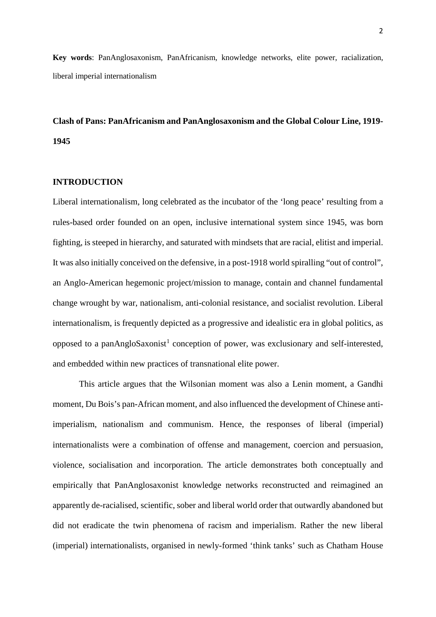**Key words**: PanAnglosaxonism, PanAfricanism, knowledge networks, elite power, racialization, liberal imperial internationalism

# **Clash of Pans: PanAfricanism and PanAnglosaxonism and the Global Colour Line, 1919- 1945**

## **INTRODUCTION**

Liberal internationalism, long celebrated as the incubator of the 'long peace' resulting from a rules-based order founded on an open, inclusive international system since 1945, was born fighting, is steeped in hierarchy, and saturated with mindsets that are racial, elitist and imperial. It was also initially conceived on the defensive, in a post-1918 world spiralling "out of control", an Anglo-American hegemonic project/mission to manage, contain and channel fundamental change wrought by war, nationalism, anti-colonial resistance, and socialist revolution. Liberal internationalism, is frequently depicted as a progressive and idealistic era in global politics, as opposed to a panAngloSaxonist<sup>[1](#page-23-0)</sup> conception of power, was exclusionary and self-interested, and embedded within new practices of transnational elite power.

This article argues that the Wilsonian moment was also a Lenin moment, a Gandhi moment, Du Bois's pan-African moment, and also influenced the development of Chinese antiimperialism, nationalism and communism. Hence, the responses of liberal (imperial) internationalists were a combination of offense and management, coercion and persuasion, violence, socialisation and incorporation. The article demonstrates both conceptually and empirically that PanAnglosaxonist knowledge networks reconstructed and reimagined an apparently de-racialised, scientific, sober and liberal world order that outwardly abandoned but did not eradicate the twin phenomena of racism and imperialism. Rather the new liberal (imperial) internationalists, organised in newly-formed 'think tanks' such as Chatham House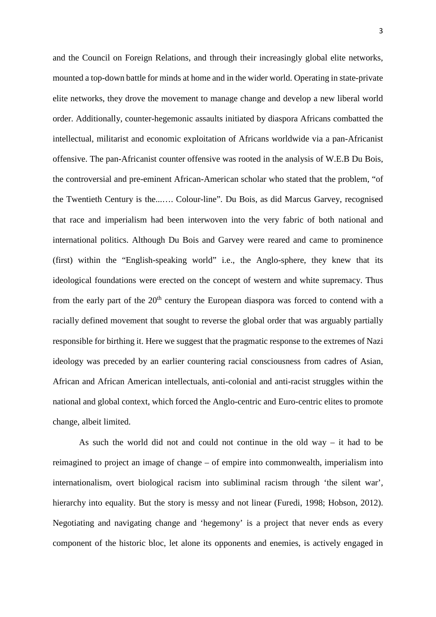and the Council on Foreign Relations, and through their increasingly global elite networks, mounted a top-down battle for minds at home and in the wider world. Operating in state-private elite networks, they drove the movement to manage change and develop a new liberal world order. Additionally, counter-hegemonic assaults initiated by diaspora Africans combatted the intellectual, militarist and economic exploitation of Africans worldwide via a pan-Africanist offensive. The pan-Africanist counter offensive was rooted in the analysis of W.E.B Du Bois, the controversial and pre-eminent African-American scholar who stated that the problem, "of the Twentieth Century is the...…. Colour-line". Du Bois, as did Marcus Garvey, recognised that race and imperialism had been interwoven into the very fabric of both national and international politics. Although Du Bois and Garvey were reared and came to prominence (first) within the "English-speaking world" i.e., the Anglo-sphere, they knew that its ideological foundations were erected on the concept of western and white supremacy. Thus from the early part of the 20<sup>th</sup> century the European diaspora was forced to contend with a racially defined movement that sought to reverse the global order that was arguably partially responsible for birthing it. Here we suggest that the pragmatic response to the extremes of Nazi ideology was preceded by an earlier countering racial consciousness from cadres of Asian, African and African American intellectuals, anti-colonial and anti-racist struggles within the national and global context, which forced the Anglo-centric and Euro-centric elites to promote change, albeit limited.

As such the world did not and could not continue in the old way – it had to be reimagined to project an image of change – of empire into commonwealth, imperialism into internationalism, overt biological racism into subliminal racism through 'the silent war', hierarchy into equality. But the story is messy and not linear (Furedi, 1998; Hobson, 2012). Negotiating and navigating change and 'hegemony' is a project that never ends as every component of the historic bloc, let alone its opponents and enemies, is actively engaged in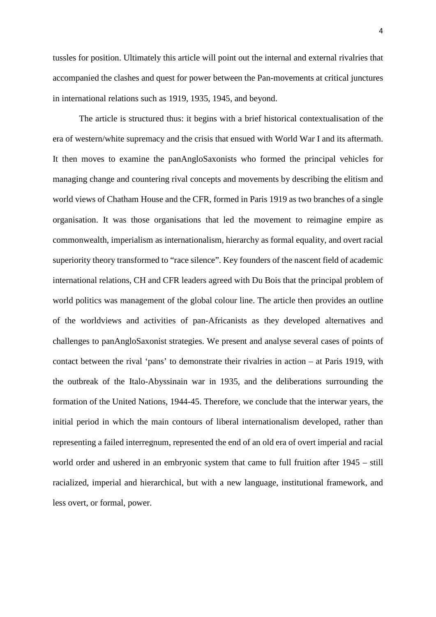tussles for position. Ultimately this article will point out the internal and external rivalries that accompanied the clashes and quest for power between the Pan-movements at critical junctures in international relations such as 1919, 1935, 1945, and beyond.

The article is structured thus: it begins with a brief historical contextualisation of the era of western/white supremacy and the crisis that ensued with World War I and its aftermath. It then moves to examine the panAngloSaxonists who formed the principal vehicles for managing change and countering rival concepts and movements by describing the elitism and world views of Chatham House and the CFR, formed in Paris 1919 as two branches of a single organisation. It was those organisations that led the movement to reimagine empire as commonwealth, imperialism as internationalism, hierarchy as formal equality, and overt racial superiority theory transformed to "race silence". Key founders of the nascent field of academic international relations, CH and CFR leaders agreed with Du Bois that the principal problem of world politics was management of the global colour line. The article then provides an outline of the worldviews and activities of pan-Africanists as they developed alternatives and challenges to panAngloSaxonist strategies. We present and analyse several cases of points of contact between the rival 'pans' to demonstrate their rivalries in action – at Paris 1919, with the outbreak of the Italo-Abyssinain war in 1935, and the deliberations surrounding the formation of the United Nations, 1944-45. Therefore, we conclude that the interwar years, the initial period in which the main contours of liberal internationalism developed, rather than representing a failed interregnum, represented the end of an old era of overt imperial and racial world order and ushered in an embryonic system that came to full fruition after 1945 – still racialized, imperial and hierarchical, but with a new language, institutional framework, and less overt, or formal, power.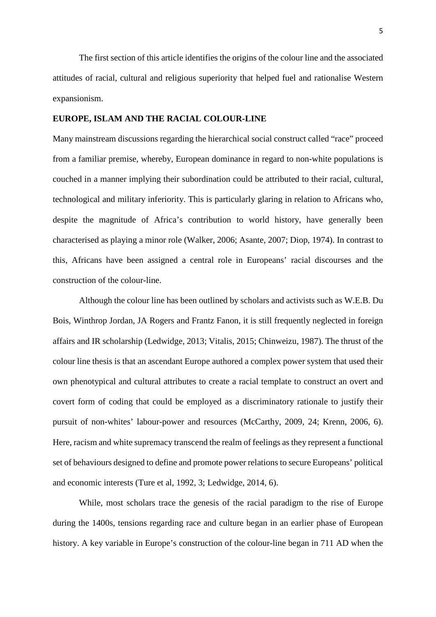The first section of this article identifies the origins of the colour line and the associated attitudes of racial, cultural and religious superiority that helped fuel and rationalise Western expansionism.

### **EUROPE, ISLAM AND THE RACIAL COLOUR-LINE**

Many mainstream discussions regarding the hierarchical social construct called "race" proceed from a familiar premise, whereby, European dominance in regard to non-white populations is couched in a manner implying their subordination could be attributed to their racial, cultural, technological and military inferiority. This is particularly glaring in relation to Africans who, despite the magnitude of Africa's contribution to world history, have generally been characterised as playing a minor role (Walker, 2006; Asante, 2007; Diop, 1974). In contrast to this, Africans have been assigned a central role in Europeans' racial discourses and the construction of the colour-line.

Although the colour line has been outlined by scholars and activists such as W.E.B. Du Bois, Winthrop Jordan, JA Rogers and Frantz Fanon, it is still frequently neglected in foreign affairs and IR scholarship (Ledwidge, 2013; Vitalis, 2015; Chinweizu, 1987). The thrust of the colour line thesis is that an ascendant Europe authored a complex power system that used their own phenotypical and cultural attributes to create a racial template to construct an overt and covert form of coding that could be employed as a discriminatory rationale to justify their pursuit of non-whites' labour-power and resources (McCarthy, 2009, 24; Krenn, 2006, 6). Here, racism and white supremacy transcend the realm of feelings as they represent a functional set of behaviours designed to define and promote power relations to secure Europeans' political and economic interests (Ture et al, 1992, 3; Ledwidge, 2014, 6).

While, most scholars trace the genesis of the racial paradigm to the rise of Europe during the 1400s, tensions regarding race and culture began in an earlier phase of European history. A key variable in Europe's construction of the colour-line began in 711 AD when the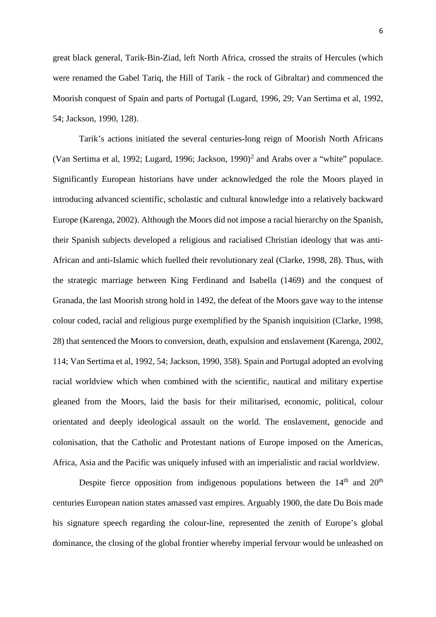great black general, Tarik-Bin-Ziad, left North Africa, crossed the straits of Hercules (which were renamed the Gabel Tariq, the Hill of Tarik - the rock of Gibraltar) and commenced the Moorish conquest of Spain and parts of Portugal (Lugard, 1996, 29; Van Sertima et al, 1992, 54; Jackson, 1990, 128).

Tarik's actions initiated the several centuries-long reign of Moorish North Africans (Van Sertima et al, 199[2](#page-24-0); Lugard, 1996; Jackson, 1990)<sup>2</sup> and Arabs over a "white" populace. Significantly European historians have under acknowledged the role the Moors played in introducing advanced scientific, scholastic and cultural knowledge into a relatively backward Europe (Karenga, 2002). Although the Moors did not impose a racial hierarchy on the Spanish, their Spanish subjects developed a religious and racialised Christian ideology that was anti-African and anti-Islamic which fuelled their revolutionary zeal (Clarke, 1998, 28). Thus, with the strategic marriage between King Ferdinand and Isabella (1469) and the conquest of Granada, the last Moorish strong hold in 1492, the defeat of the Moors gave way to the intense colour coded, racial and religious purge exemplified by the Spanish inquisition (Clarke, 1998, 28) that sentenced the Moors to conversion, death, expulsion and enslavement (Karenga, 2002, 114; Van Sertima et al, 1992, 54; Jackson, 1990, 358). Spain and Portugal adopted an evolving racial worldview which when combined with the scientific, nautical and military expertise gleaned from the Moors, laid the basis for their militarised, economic, political, colour orientated and deeply ideological assault on the world. The enslavement, genocide and colonisation, that the Catholic and Protestant nations of Europe imposed on the Americas, Africa, Asia and the Pacific was uniquely infused with an imperialistic and racial worldview.

Despite fierce opposition from indigenous populations between the  $14<sup>th</sup>$  and  $20<sup>th</sup>$ centuries European nation states amassed vast empires. Arguably 1900, the date Du Bois made his signature speech regarding the colour-line, represented the zenith of Europe's global dominance, the closing of the global frontier whereby imperial fervour would be unleashed on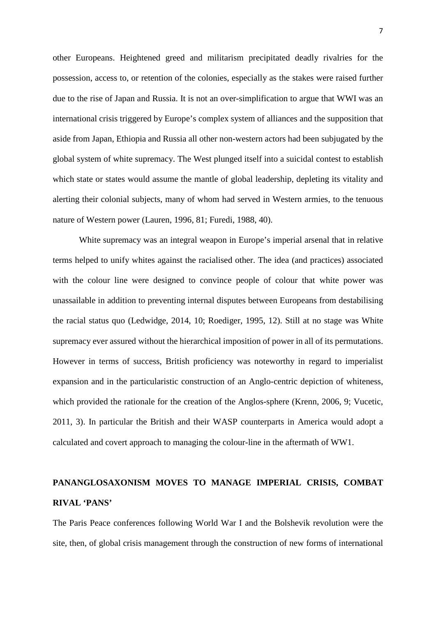other Europeans. Heightened greed and militarism precipitated deadly rivalries for the possession, access to, or retention of the colonies, especially as the stakes were raised further due to the rise of Japan and Russia. It is not an over-simplification to argue that WWI was an international crisis triggered by Europe's complex system of alliances and the supposition that aside from Japan, Ethiopia and Russia all other non-western actors had been subjugated by the global system of white supremacy. The West plunged itself into a suicidal contest to establish which state or states would assume the mantle of global leadership, depleting its vitality and alerting their colonial subjects, many of whom had served in Western armies, to the tenuous nature of Western power (Lauren, 1996, 81; Furedi, 1988, 40).

White supremacy was an integral weapon in Europe's imperial arsenal that in relative terms helped to unify whites against the racialised other. The idea (and practices) associated with the colour line were designed to convince people of colour that white power was unassailable in addition to preventing internal disputes between Europeans from destabilising the racial status quo (Ledwidge, 2014, 10; Roediger, 1995, 12). Still at no stage was White supremacy ever assured without the hierarchical imposition of power in all of its permutations. However in terms of success, British proficiency was noteworthy in regard to imperialist expansion and in the particularistic construction of an Anglo-centric depiction of whiteness, which provided the rationale for the creation of the Anglos-sphere (Krenn, 2006, 9; Vucetic, 2011, 3). In particular the British and their WASP counterparts in America would adopt a calculated and covert approach to managing the colour-line in the aftermath of WW1.

# **PANANGLOSAXONISM MOVES TO MANAGE IMPERIAL CRISIS, COMBAT RIVAL 'PANS'**

The Paris Peace conferences following World War I and the Bolshevik revolution were the site, then, of global crisis management through the construction of new forms of international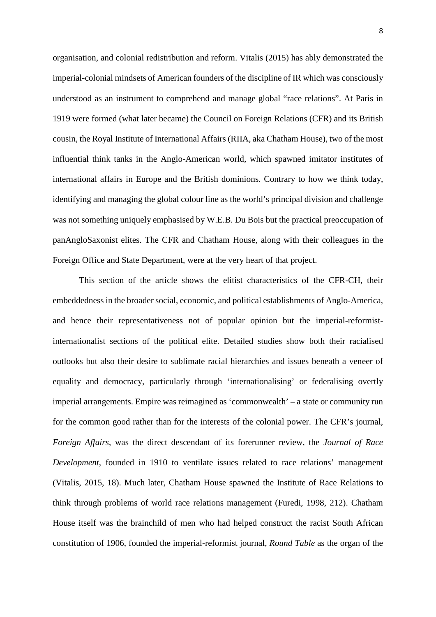organisation, and colonial redistribution and reform. Vitalis (2015) has ably demonstrated the imperial-colonial mindsets of American founders of the discipline of IR which was consciously understood as an instrument to comprehend and manage global "race relations". At Paris in 1919 were formed (what later became) the Council on Foreign Relations (CFR) and its British cousin, the Royal Institute of International Affairs (RIIA, aka Chatham House), two of the most influential think tanks in the Anglo-American world, which spawned imitator institutes of international affairs in Europe and the British dominions. Contrary to how we think today, identifying and managing the global colour line as the world's principal division and challenge was not something uniquely emphasised by W.E.B. Du Bois but the practical preoccupation of panAngloSaxonist elites. The CFR and Chatham House, along with their colleagues in the Foreign Office and State Department, were at the very heart of that project.

This section of the article shows the elitist characteristics of the CFR-CH, their embeddedness in the broader social, economic, and political establishments of Anglo-America, and hence their representativeness not of popular opinion but the imperial-reformistinternationalist sections of the political elite. Detailed studies show both their racialised outlooks but also their desire to sublimate racial hierarchies and issues beneath a veneer of equality and democracy, particularly through 'internationalising' or federalising overtly imperial arrangements. Empire was reimagined as 'commonwealth' – a state or community run for the common good rather than for the interests of the colonial power. The CFR's journal, *Foreign Affairs*, was the direct descendant of its forerunner review, the *Journal of Race Development*, founded in 1910 to ventilate issues related to race relations' management (Vitalis, 2015, 18). Much later, Chatham House spawned the Institute of Race Relations to think through problems of world race relations management (Furedi, 1998, 212). Chatham House itself was the brainchild of men who had helped construct the racist South African constitution of 1906, founded the imperial-reformist journal, *Round Table* as the organ of the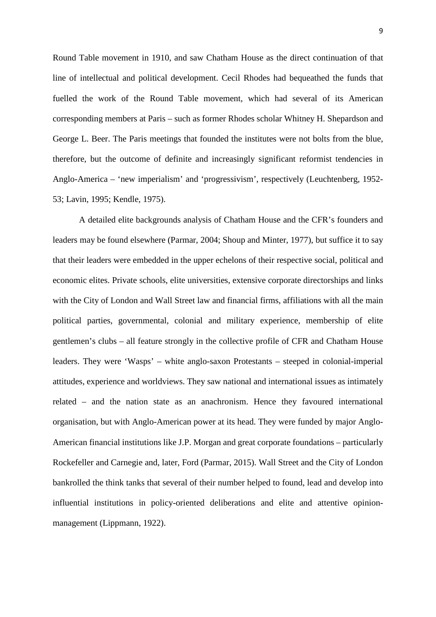Round Table movement in 1910, and saw Chatham House as the direct continuation of that line of intellectual and political development. Cecil Rhodes had bequeathed the funds that fuelled the work of the Round Table movement, which had several of its American corresponding members at Paris – such as former Rhodes scholar Whitney H. Shepardson and George L. Beer. The Paris meetings that founded the institutes were not bolts from the blue, therefore, but the outcome of definite and increasingly significant reformist tendencies in Anglo-America – 'new imperialism' and 'progressivism', respectively (Leuchtenberg, 1952- 53; Lavin, 1995; Kendle, 1975).

A detailed elite backgrounds analysis of Chatham House and the CFR's founders and leaders may be found elsewhere (Parmar, 2004; Shoup and Minter, 1977), but suffice it to say that their leaders were embedded in the upper echelons of their respective social, political and economic elites. Private schools, elite universities, extensive corporate directorships and links with the City of London and Wall Street law and financial firms, affiliations with all the main political parties, governmental, colonial and military experience, membership of elite gentlemen's clubs – all feature strongly in the collective profile of CFR and Chatham House leaders. They were 'Wasps' – white anglo-saxon Protestants – steeped in colonial-imperial attitudes, experience and worldviews. They saw national and international issues as intimately related – and the nation state as an anachronism. Hence they favoured international organisation, but with Anglo-American power at its head. They were funded by major Anglo-American financial institutions like J.P. Morgan and great corporate foundations – particularly Rockefeller and Carnegie and, later, Ford (Parmar, 2015). Wall Street and the City of London bankrolled the think tanks that several of their number helped to found, lead and develop into influential institutions in policy-oriented deliberations and elite and attentive opinionmanagement (Lippmann, 1922).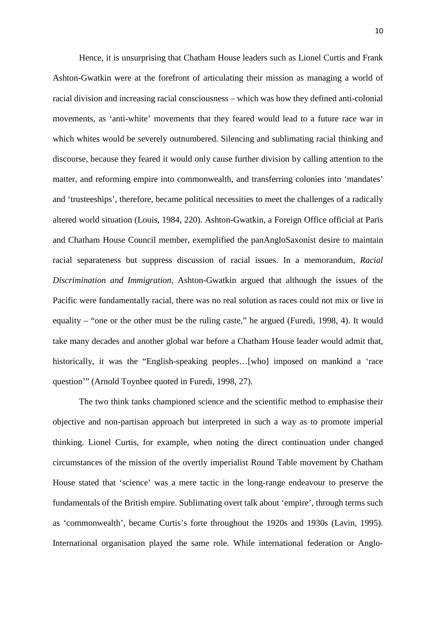Hence, it is unsurprising that Chatham House leaders such as Lionel Curtis and Frank Ashton-Gwatkin were at the forefront of articulating their mission as managing a world of racial division and increasing racial consciousness – which was how they defined anti-colonial movements, as 'anti-white' movements that they feared would lead to a future race war in which whites would be severely outnumbered. Silencing and sublimating racial thinking and discourse, because they feared it would only cause further division by calling attention to the matter, and reforming empire into commonwealth, and transferring colonies into 'mandates' and 'trusteeships', therefore, became political necessities to meet the challenges of a radically altered world situation (Louis, 1984, 220). Ashton-Gwatkin, a Foreign Office official at Paris and Chatham House Council member, exemplified the panAngloSaxonist desire to maintain racial separateness but suppress discussion of racial issues. In a memorandum, *Racial Discrimination and Immigration*, Ashton-Gwatkin argued that although the issues of the Pacific were fundamentally racial, there was no real solution as races could not mix or live in equality – "one or the other must be the ruling caste," he argued (Furedi, 1998, 4). It would take many decades and another global war before a Chatham House leader would admit that, historically, it was the "English-speaking peoples... [who] imposed on mankind a 'race question'" (Arnold Toynbee quoted in Furedi, 1998, 27).

The two think tanks championed science and the scientific method to emphasise their objective and non-partisan approach but interpreted in such a way as to promote imperial thinking. Lionel Curtis, for example, when noting the direct continuation under changed circumstances of the mission of the overtly imperialist Round Table movement by Chatham House stated that 'science' was a mere tactic in the long-range endeavour to preserve the fundamentals of the British empire. Sublimating overt talk about 'empire', through terms such as 'commonwealth', became Curtis's forte throughout the 1920s and 1930s (Lavin, 1995). International organisation played the same role. While international federation or Anglo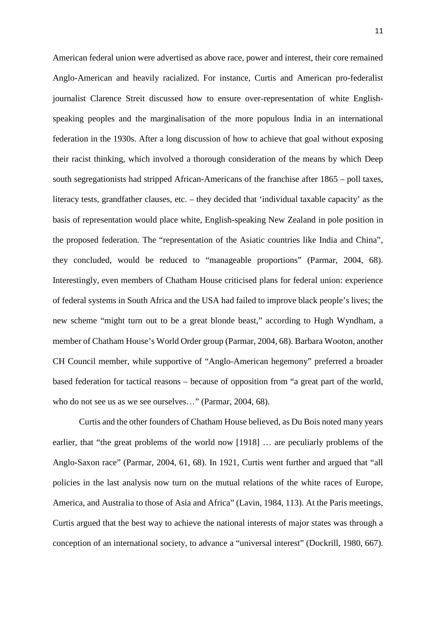American federal union were advertised as above race, power and interest, their core remained Anglo-American and heavily racialized. For instance, Curtis and American pro-federalist journalist Clarence Streit discussed how to ensure over-representation of white Englishspeaking peoples and the marginalisation of the more populous India in an international federation in the 1930s. After a long discussion of how to achieve that goal without exposing their racist thinking, which involved a thorough consideration of the means by which Deep south segregationists had stripped African-Americans of the franchise after 1865 – poll taxes, literacy tests, grandfather clauses, etc. – they decided that 'individual taxable capacity' as the basis of representation would place white, English-speaking New Zealand in pole position in the proposed federation. The "representation of the Asiatic countries like India and China", they concluded, would be reduced to "manageable proportions" (Parmar, 2004, 68). Interestingly, even members of Chatham House criticised plans for federal union: experience of federal systems in South Africa and the USA had failed to improve black people's lives; the new scheme "might turn out to be a great blonde beast," according to Hugh Wyndham, a member of Chatham House's World Order group (Parmar, 2004, 68). Barbara Wooton, another CH Council member, while supportive of "Anglo-American hegemony" preferred a broader based federation for tactical reasons – because of opposition from "a great part of the world, who do not see us as we see ourselves…" (Parmar, 2004, 68).

Curtis and the other founders of Chatham House believed, as Du Bois noted many years earlier, that "the great problems of the world now [1918] … are peculiarly problems of the Anglo-Saxon race" (Parmar, 2004, 61, 68). In 1921, Curtis went further and argued that "all policies in the last analysis now turn on the mutual relations of the white races of Europe, America, and Australia to those of Asia and Africa" (Lavin, 1984, 113). At the Paris meetings, Curtis argued that the best way to achieve the national interests of major states was through a conception of an international society, to advance a "universal interest" (Dockrill, 1980, 667).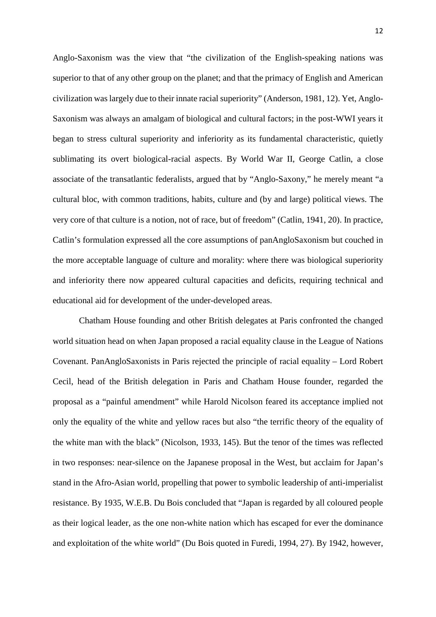Anglo-Saxonism was the view that "the civilization of the English-speaking nations was superior to that of any other group on the planet; and that the primacy of English and American civilization was largely due to their innate racial superiority" (Anderson, 1981, 12). Yet, Anglo-Saxonism was always an amalgam of biological and cultural factors; in the post-WWI years it began to stress cultural superiority and inferiority as its fundamental characteristic, quietly sublimating its overt biological-racial aspects. By World War II, George Catlin, a close associate of the transatlantic federalists, argued that by "Anglo-Saxony," he merely meant "a cultural bloc, with common traditions, habits, culture and (by and large) political views. The very core of that culture is a notion, not of race, but of freedom" (Catlin, 1941, 20). In practice, Catlin's formulation expressed all the core assumptions of panAngloSaxonism but couched in the more acceptable language of culture and morality: where there was biological superiority and inferiority there now appeared cultural capacities and deficits, requiring technical and educational aid for development of the under-developed areas.

Chatham House founding and other British delegates at Paris confronted the changed world situation head on when Japan proposed a racial equality clause in the League of Nations Covenant. PanAngloSaxonists in Paris rejected the principle of racial equality – Lord Robert Cecil, head of the British delegation in Paris and Chatham House founder, regarded the proposal as a "painful amendment" while Harold Nicolson feared its acceptance implied not only the equality of the white and yellow races but also "the terrific theory of the equality of the white man with the black" (Nicolson, 1933, 145). But the tenor of the times was reflected in two responses: near-silence on the Japanese proposal in the West, but acclaim for Japan's stand in the Afro-Asian world, propelling that power to symbolic leadership of anti-imperialist resistance. By 1935, W.E.B. Du Bois concluded that "Japan is regarded by all coloured people as their logical leader, as the one non-white nation which has escaped for ever the dominance and exploitation of the white world" (Du Bois quoted in Furedi, 1994, 27). By 1942, however,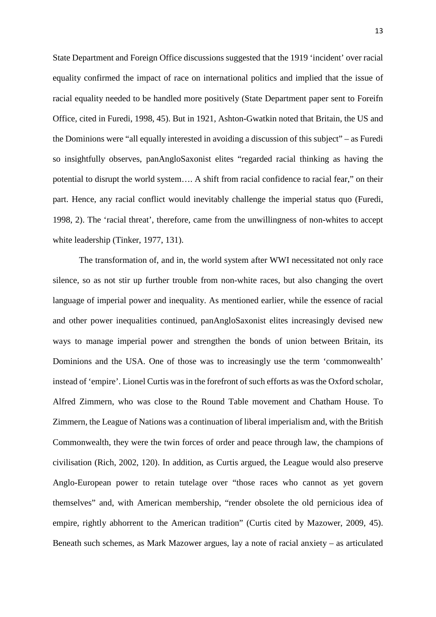State Department and Foreign Office discussions suggested that the 1919 'incident' over racial equality confirmed the impact of race on international politics and implied that the issue of racial equality needed to be handled more positively (State Department paper sent to Foreifn Office, cited in Furedi, 1998, 45). But in 1921, Ashton-Gwatkin noted that Britain, the US and the Dominions were "all equally interested in avoiding a discussion of this subject" – as Furedi so insightfully observes, panAngloSaxonist elites "regarded racial thinking as having the potential to disrupt the world system…. A shift from racial confidence to racial fear," on their part. Hence, any racial conflict would inevitably challenge the imperial status quo (Furedi, 1998, 2). The 'racial threat', therefore, came from the unwillingness of non-whites to accept white leadership (Tinker, 1977, 131).

The transformation of, and in, the world system after WWI necessitated not only race silence, so as not stir up further trouble from non-white races, but also changing the overt language of imperial power and inequality. As mentioned earlier, while the essence of racial and other power inequalities continued, panAngloSaxonist elites increasingly devised new ways to manage imperial power and strengthen the bonds of union between Britain, its Dominions and the USA. One of those was to increasingly use the term 'commonwealth' instead of 'empire'. Lionel Curtis was in the forefront of such efforts as was the Oxford scholar, Alfred Zimmern, who was close to the Round Table movement and Chatham House. To Zimmern, the League of Nations was a continuation of liberal imperialism and, with the British Commonwealth, they were the twin forces of order and peace through law, the champions of civilisation (Rich, 2002, 120). In addition, as Curtis argued, the League would also preserve Anglo-European power to retain tutelage over "those races who cannot as yet govern themselves" and, with American membership, "render obsolete the old pernicious idea of empire, rightly abhorrent to the American tradition" (Curtis cited by Mazower, 2009, 45). Beneath such schemes, as Mark Mazower argues, lay a note of racial anxiety – as articulated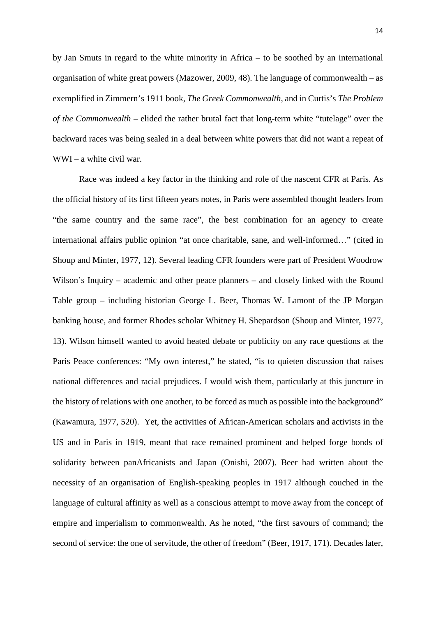by Jan Smuts in regard to the white minority in Africa – to be soothed by an international organisation of white great powers (Mazower, 2009, 48). The language of commonwealth – as exemplified in Zimmern's 1911 book, *The Greek Commonwealth*, and in Curtis's *The Problem of the Commonwealth* – elided the rather brutal fact that long-term white "tutelage" over the backward races was being sealed in a deal between white powers that did not want a repeat of WWI – a white civil war.

Race was indeed a key factor in the thinking and role of the nascent CFR at Paris. As the official history of its first fifteen years notes, in Paris were assembled thought leaders from "the same country and the same race", the best combination for an agency to create international affairs public opinion "at once charitable, sane, and well-informed…" (cited in Shoup and Minter, 1977, 12). Several leading CFR founders were part of President Woodrow Wilson's Inquiry – academic and other peace planners – and closely linked with the Round Table group – including historian George L. Beer, Thomas W. Lamont of the JP Morgan banking house, and former Rhodes scholar Whitney H. Shepardson (Shoup and Minter, 1977, 13). Wilson himself wanted to avoid heated debate or publicity on any race questions at the Paris Peace conferences: "My own interest," he stated, "is to quieten discussion that raises national differences and racial prejudices. I would wish them, particularly at this juncture in the history of relations with one another, to be forced as much as possible into the background" (Kawamura, 1977, 520). Yet, the activities of African-American scholars and activists in the US and in Paris in 1919, meant that race remained prominent and helped forge bonds of solidarity between panAfricanists and Japan (Onishi, 2007). Beer had written about the necessity of an organisation of English-speaking peoples in 1917 although couched in the language of cultural affinity as well as a conscious attempt to move away from the concept of empire and imperialism to commonwealth. As he noted, "the first savours of command; the second of service: the one of servitude, the other of freedom" (Beer, 1917, 171). Decades later,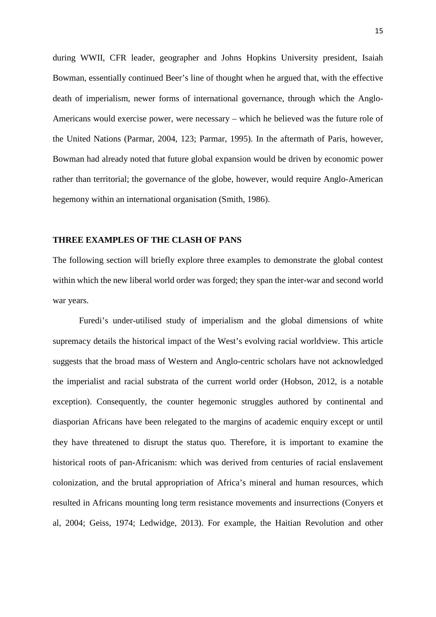during WWII, CFR leader, geographer and Johns Hopkins University president, Isaiah Bowman, essentially continued Beer's line of thought when he argued that, with the effective death of imperialism, newer forms of international governance, through which the Anglo-Americans would exercise power, were necessary – which he believed was the future role of the United Nations (Parmar, 2004, 123; Parmar, 1995). In the aftermath of Paris, however, Bowman had already noted that future global expansion would be driven by economic power rather than territorial; the governance of the globe, however, would require Anglo-American hegemony within an international organisation (Smith, 1986).

#### **THREE EXAMPLES OF THE CLASH OF PANS**

The following section will briefly explore three examples to demonstrate the global contest within which the new liberal world order was forged; they span the inter-war and second world war years.

Furedi's under-utilised study of imperialism and the global dimensions of white supremacy details the historical impact of the West's evolving racial worldview. This article suggests that the broad mass of Western and Anglo-centric scholars have not acknowledged the imperialist and racial substrata of the current world order (Hobson, 2012, is a notable exception). Consequently, the counter hegemonic struggles authored by continental and diasporian Africans have been relegated to the margins of academic enquiry except or until they have threatened to disrupt the status quo. Therefore, it is important to examine the historical roots of pan-Africanism: which was derived from centuries of racial enslavement colonization, and the brutal appropriation of Africa's mineral and human resources, which resulted in Africans mounting long term resistance movements and insurrections (Conyers et al, 2004; Geiss, 1974; Ledwidge, 2013). For example, the Haitian Revolution and other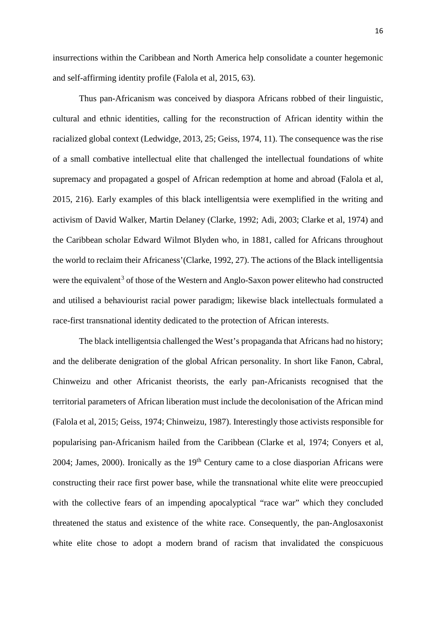insurrections within the Caribbean and North America help consolidate a counter hegemonic and self-affirming identity profile (Falola et al, 2015, 63).

Thus pan-Africanism was conceived by diaspora Africans robbed of their linguistic, cultural and ethnic identities, calling for the reconstruction of African identity within the racialized global context (Ledwidge, 2013, 25; Geiss, 1974, 11). The consequence was the rise of a small combative intellectual elite that challenged the intellectual foundations of white supremacy and propagated a gospel of African redemption at home and abroad (Falola et al, 2015, 216). Early examples of this black intelligentsia were exemplified in the writing and activism of David Walker, Martin Delaney (Clarke, 1992; Adi, 2003; Clarke et al, 1974) and the Caribbean scholar Edward Wilmot Blyden who, in 1881, called for Africans throughout the world to reclaim their Africaness'(Clarke, 1992, 27). The actions of the Black intelligentsia were the equivalent<sup>[3](#page-24-0)</sup> of those of the Western and Anglo-Saxon power elitewho had constructed and utilised a behaviourist racial power paradigm; likewise black intellectuals formulated a race-first transnational identity dedicated to the protection of African interests.

The black intelligentsia challenged the West's propaganda that Africans had no history; and the deliberate denigration of the global African personality. In short like Fanon, Cabral, Chinweizu and other Africanist theorists, the early pan-Africanists recognised that the territorial parameters of African liberation must include the decolonisation of the African mind (Falola et al, 2015; Geiss, 1974; Chinweizu, 1987). Interestingly those activists responsible for popularising pan-Africanism hailed from the Caribbean (Clarke et al, 1974; Conyers et al, 2004; James, 2000). Ironically as the  $19<sup>th</sup>$  Century came to a close diasporian Africans were constructing their race first power base, while the transnational white elite were preoccupied with the collective fears of an impending apocalyptical "race war" which they concluded threatened the status and existence of the white race. Consequently, the pan-Anglosaxonist white elite chose to adopt a modern brand of racism that invalidated the conspicuous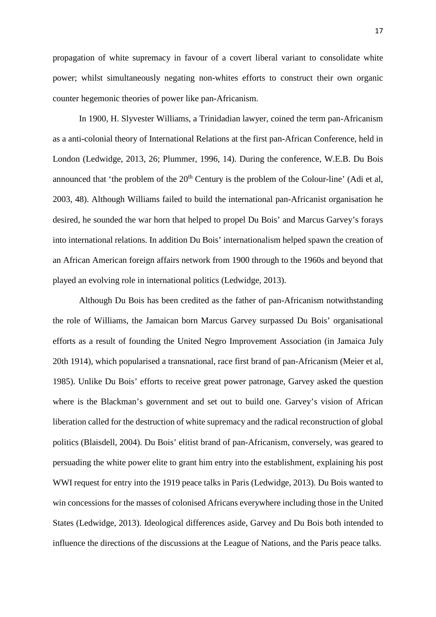propagation of white supremacy in favour of a covert liberal variant to consolidate white power; whilst simultaneously negating non-whites efforts to construct their own organic counter hegemonic theories of power like pan-Africanism.

In 1900, H. Slyvester Williams, a Trinidadian lawyer, coined the term pan-Africanism as a anti-colonial theory of International Relations at the first pan-African Conference, held in London (Ledwidge, 2013, 26; Plummer, 1996, 14). During the conference, W.E.B. Du Bois announced that 'the problem of the  $20<sup>th</sup>$  Century is the problem of the Colour-line' (Adi et al, 2003, 48). Although Williams failed to build the international pan-Africanist organisation he desired, he sounded the war horn that helped to propel Du Bois' and Marcus Garvey's forays into international relations. In addition Du Bois' internationalism helped spawn the creation of an African American foreign affairs network from 1900 through to the 1960s and beyond that played an evolving role in international politics (Ledwidge, 2013).

Although Du Bois has been credited as the father of pan-Africanism notwithstanding the role of Williams, the Jamaican born Marcus Garvey surpassed Du Bois' organisational efforts as a result of founding the United Negro Improvement Association (in Jamaica July 20th 1914), which popularised a transnational, race first brand of pan-Africanism (Meier et al, 1985). Unlike Du Bois' efforts to receive great power patronage, Garvey asked the question where is the Blackman's government and set out to build one. Garvey's vision of African liberation called for the destruction of white supremacy and the radical reconstruction of global politics (Blaisdell, 2004). Du Bois' elitist brand of pan-Africanism, conversely, was geared to persuading the white power elite to grant him entry into the establishment, explaining his post WWI request for entry into the 1919 peace talks in Paris (Ledwidge, 2013). Du Bois wanted to win concessions for the masses of colonised Africans everywhere including those in the United States (Ledwidge, 2013). Ideological differences aside, Garvey and Du Bois both intended to influence the directions of the discussions at the League of Nations, and the Paris peace talks.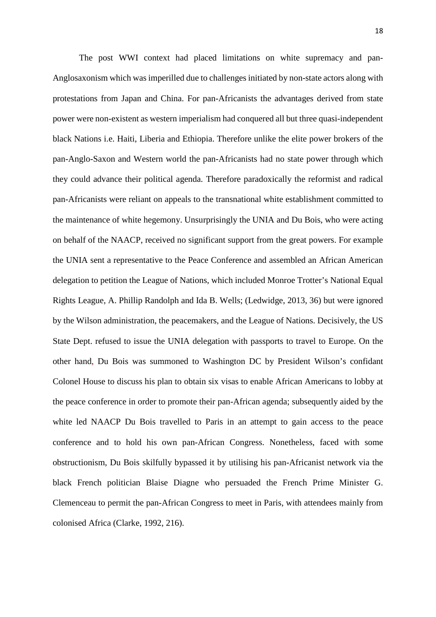The post WWI context had placed limitations on white supremacy and pan-Anglosaxonism which was imperilled due to challenges initiated by non-state actors along with protestations from Japan and China. For pan-Africanists the advantages derived from state power were non-existent as western imperialism had conquered all but three quasi-independent black Nations i.e. Haiti, Liberia and Ethiopia. Therefore unlike the elite power brokers of the pan-Anglo-Saxon and Western world the pan-Africanists had no state power through which they could advance their political agenda. Therefore paradoxically the reformist and radical pan-Africanists were reliant on appeals to the transnational white establishment committed to the maintenance of white hegemony. Unsurprisingly the UNIA and Du Bois, who were acting on behalf of the NAACP, received no significant support from the great powers. For example the UNIA sent a representative to the Peace Conference and assembled an African American delegation to petition the League of Nations, which included Monroe Trotter's National Equal Rights League, A. Phillip Randolph and Ida B. Wells; (Ledwidge, 2013, 36) but were ignored by the Wilson administration, the peacemakers, and the League of Nations. Decisively, the US State Dept. refused to issue the UNIA delegation with passports to travel to Europe. On the other hand, Du Bois was summoned to Washington DC by President Wilson's confidant Colonel House to discuss his plan to obtain six visas to enable African Americans to lobby at the peace conference in order to promote their pan-African agenda; subsequently aided by the white led NAACP Du Bois travelled to Paris in an attempt to gain access to the peace conference and to hold his own pan-African Congress. Nonetheless, faced with some obstructionism, Du Bois skilfully bypassed it by utilising his pan-Africanist network via the black French politician Blaise Diagne who persuaded the French Prime Minister G. Clemenceau to permit the pan-African Congress to meet in Paris, with attendees mainly from colonised Africa (Clarke, 1992, 216).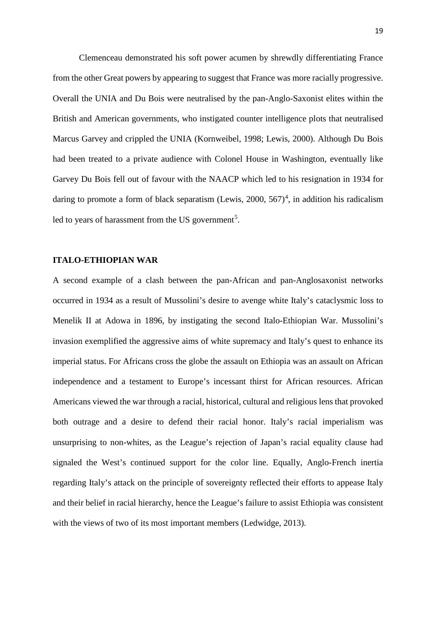Clemenceau demonstrated his soft power acumen by shrewdly differentiating France from the other Great powers by appearing to suggest that France was more racially progressive. Overall the UNIA and Du Bois were neutralised by the pan-Anglo-Saxonist elites within the British and American governments, who instigated counter intelligence plots that neutralised Marcus Garvey and crippled the UNIA (Kornweibel, 1998; Lewis, 2000). Although Du Bois had been treated to a private audience with Colonel House in Washington, eventually like Garvey Du Bois fell out of favour with the NAACP which led to his resignation in 1934 for daring to promote a form of black separatism (Lewis,  $2000$ ,  $567$ )<sup>[4](#page-24-0)</sup>, in addition his radicalism led to years of harassment from the US government<sup>[5](#page-24-0)</sup>.

### **ITALO-ETHIOPIAN WAR**

A second example of a clash between the pan-African and pan-Anglosaxonist networks occurred in 1934 as a result of Mussolini's desire to avenge white Italy's cataclysmic loss to Menelik II at Adowa in 1896, by instigating the second Italo-Ethiopian War. Mussolini's invasion exemplified the aggressive aims of white supremacy and Italy's quest to enhance its imperial status. For Africans cross the globe the assault on Ethiopia was an assault on African independence and a testament to Europe's incessant thirst for African resources. African Americans viewed the war through a racial, historical, cultural and religious lens that provoked both outrage and a desire to defend their racial honor. Italy's racial imperialism was unsurprising to non-whites, as the League's rejection of Japan's racial equality clause had signaled the West's continued support for the color line. Equally, Anglo-French inertia regarding Italy's attack on the principle of sovereignty reflected their efforts to appease Italy and their belief in racial hierarchy, hence the League's failure to assist Ethiopia was consistent with the views of two of its most important members (Ledwidge, 2013).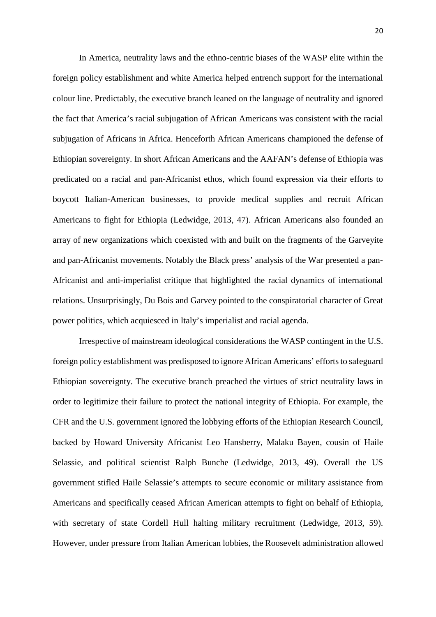In America, neutrality laws and the ethno-centric biases of the WASP elite within the foreign policy establishment and white America helped entrench support for the international colour line. Predictably, the executive branch leaned on the language of neutrality and ignored the fact that America's racial subjugation of African Americans was consistent with the racial subjugation of Africans in Africa. Henceforth African Americans championed the defense of Ethiopian sovereignty. In short African Americans and the AAFAN's defense of Ethiopia was predicated on a racial and pan-Africanist ethos, which found expression via their efforts to boycott Italian-American businesses, to provide medical supplies and recruit African Americans to fight for Ethiopia (Ledwidge, 2013, 47). African Americans also founded an array of new organizations which coexisted with and built on the fragments of the Garveyite and pan-Africanist movements. Notably the Black press' analysis of the War presented a pan-Africanist and anti-imperialist critique that highlighted the racial dynamics of international relations. Unsurprisingly, Du Bois and Garvey pointed to the conspiratorial character of Great power politics, which acquiesced in Italy's imperialist and racial agenda.

Irrespective of mainstream ideological considerations the WASP contingent in the U.S. foreign policy establishment was predisposed to ignore African Americans' efforts to safeguard Ethiopian sovereignty. The executive branch preached the virtues of strict neutrality laws in order to legitimize their failure to protect the national integrity of Ethiopia. For example, the CFR and the U.S. government ignored the lobbying efforts of the Ethiopian Research Council, backed by Howard University Africanist Leo Hansberry, Malaku Bayen, cousin of Haile Selassie, and political scientist Ralph Bunche (Ledwidge, 2013, 49). Overall the US government stifled Haile Selassie's attempts to secure economic or military assistance from Americans and specifically ceased African American attempts to fight on behalf of Ethiopia, with secretary of state Cordell Hull halting military recruitment (Ledwidge, 2013, 59). However, under pressure from Italian American lobbies, the Roosevelt administration allowed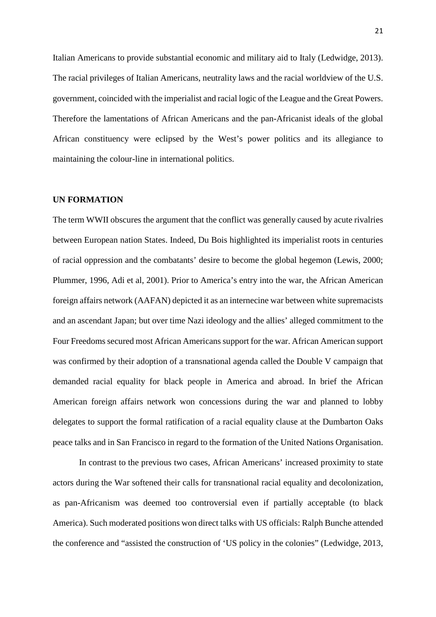Italian Americans to provide substantial economic and military aid to Italy (Ledwidge, 2013). The racial privileges of Italian Americans, neutrality laws and the racial worldview of the U.S. government, coincided with the imperialist and racial logic of the League and the Great Powers. Therefore the lamentations of African Americans and the pan-Africanist ideals of the global African constituency were eclipsed by the West's power politics and its allegiance to maintaining the colour-line in international politics.

#### **UN FORMATION**

The term WWII obscures the argument that the conflict was generally caused by acute rivalries between European nation States. Indeed, Du Bois highlighted its imperialist roots in centuries of racial oppression and the combatants' desire to become the global hegemon (Lewis, 2000; Plummer, 1996, Adi et al, 2001). Prior to America's entry into the war, the African American foreign affairs network (AAFAN) depicted it as an internecine war between white supremacists and an ascendant Japan; but over time Nazi ideology and the allies' alleged commitment to the Four Freedoms secured most African Americans support for the war. African American support was confirmed by their adoption of a transnational agenda called the Double V campaign that demanded racial equality for black people in America and abroad. In brief the African American foreign affairs network won concessions during the war and planned to lobby delegates to support the formal ratification of a racial equality clause at the Dumbarton Oaks peace talks and in San Francisco in regard to the formation of the United Nations Organisation.

In contrast to the previous two cases, African Americans' increased proximity to state actors during the War softened their calls for transnational racial equality and decolonization, as pan-Africanism was deemed too controversial even if partially acceptable (to black America). Such moderated positions won direct talks with US officials: Ralph Bunche attended the conference and "assisted the construction of 'US policy in the colonies" (Ledwidge, 2013,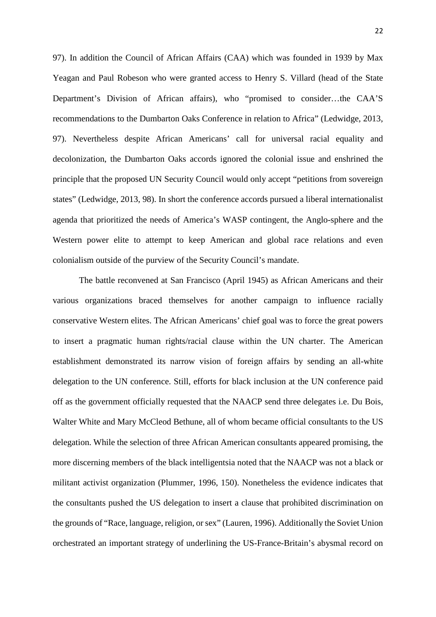97). In addition the Council of African Affairs (CAA) which was founded in 1939 by Max Yeagan and Paul Robeson who were granted access to Henry S. Villard (head of the State Department's Division of African affairs), who "promised to consider…the CAA'S recommendations to the Dumbarton Oaks Conference in relation to Africa" (Ledwidge, 2013, 97). Nevertheless despite African Americans' call for universal racial equality and decolonization, the Dumbarton Oaks accords ignored the colonial issue and enshrined the principle that the proposed UN Security Council would only accept "petitions from sovereign states" (Ledwidge, 2013, 98). In short the conference accords pursued a liberal internationalist agenda that prioritized the needs of America's WASP contingent, the Anglo-sphere and the Western power elite to attempt to keep American and global race relations and even colonialism outside of the purview of the Security Council's mandate.

The battle reconvened at San Francisco (April 1945) as African Americans and their various organizations braced themselves for another campaign to influence racially conservative Western elites. The African Americans' chief goal was to force the great powers to insert a pragmatic human rights/racial clause within the UN charter. The American establishment demonstrated its narrow vision of foreign affairs by sending an all-white delegation to the UN conference. Still, efforts for black inclusion at the UN conference paid off as the government officially requested that the NAACP send three delegates i.e. Du Bois, Walter White and Mary McCleod Bethune, all of whom became official consultants to the US delegation. While the selection of three African American consultants appeared promising, the more discerning members of the black intelligentsia noted that the NAACP was not a black or militant activist organization (Plummer, 1996, 150). Nonetheless the evidence indicates that the consultants pushed the US delegation to insert a clause that prohibited discrimination on the grounds of "Race, language, religion, or sex" (Lauren, 1996). Additionally the Soviet Union orchestrated an important strategy of underlining the US-France-Britain's abysmal record on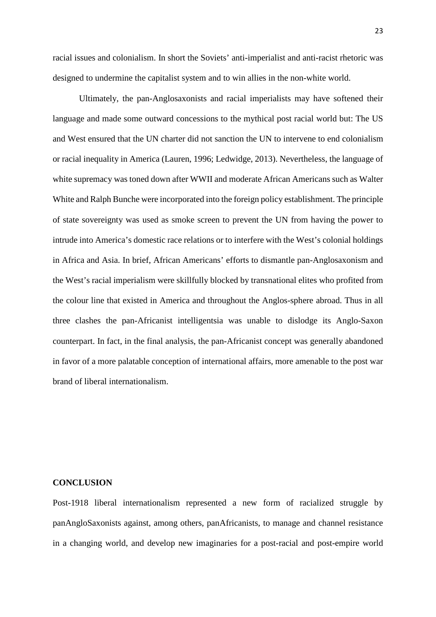racial issues and colonialism. In short the Soviets' anti-imperialist and anti-racist rhetoric was designed to undermine the capitalist system and to win allies in the non-white world.

Ultimately, the pan-Anglosaxonists and racial imperialists may have softened their language and made some outward concessions to the mythical post racial world but: The US and West ensured that the UN charter did not sanction the UN to intervene to end colonialism or racial inequality in America (Lauren, 1996; Ledwidge, 2013). Nevertheless, the language of white supremacy was toned down after WWII and moderate African Americans such as Walter White and Ralph Bunche were incorporated into the foreign policy establishment. The principle of state sovereignty was used as smoke screen to prevent the UN from having the power to intrude into America's domestic race relations or to interfere with the West's colonial holdings in Africa and Asia. In brief, African Americans' efforts to dismantle pan-Anglosaxonism and the West's racial imperialism were skillfully blocked by transnational elites who profited from the colour line that existed in America and throughout the Anglos-sphere abroad. Thus in all three clashes the pan-Africanist intelligentsia was unable to dislodge its Anglo-Saxon counterpart. In fact, in the final analysis, the pan-Africanist concept was generally abandoned in favor of a more palatable conception of international affairs, more amenable to the post war brand of liberal internationalism.

#### **CONCLUSION**

Post-1918 liberal internationalism represented a new form of racialized struggle by panAngloSaxonists against, among others, panAfricanists, to manage and channel resistance in a changing world, and develop new imaginaries for a post-racial and post-empire world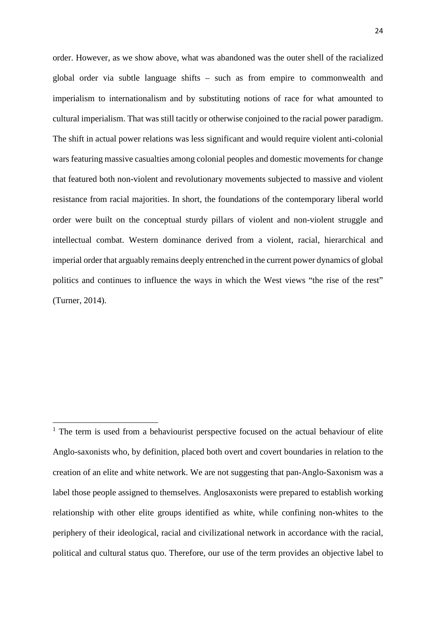<span id="page-23-0"></span>order. However, as we show above, what was abandoned was the outer shell of the racialized global order via subtle language shifts – such as from empire to commonwealth and imperialism to internationalism and by substituting notions of race for what amounted to cultural imperialism. That was still tacitly or otherwise conjoined to the racial power paradigm. The shift in actual power relations was less significant and would require violent anti-colonial wars featuring massive casualties among colonial peoples and domestic movements for change that featured both non-violent and revolutionary movements subjected to massive and violent resistance from racial majorities. In short, the foundations of the contemporary liberal world order were built on the conceptual sturdy pillars of violent and non-violent struggle and intellectual combat. Western dominance derived from a violent, racial, hierarchical and imperial order that arguably remains deeply entrenched in the current power dynamics of global politics and continues to influence the ways in which the West views "the rise of the rest" (Turner, 2014).

 $\overline{\phantom{a}}$ 

 $1$ . The term is used from a behaviourist perspective focused on the actual behaviour of elite Anglo-saxonists who, by definition, placed both overt and covert boundaries in relation to the creation of an elite and white network. We are not suggesting that pan-Anglo-Saxonism was a label those people assigned to themselves. Anglosaxonists were prepared to establish working relationship with other elite groups identified as white, while confining non-whites to the periphery of their ideological, racial and civilizational network in accordance with the racial, political and cultural status quo. Therefore, our use of the term provides an objective label to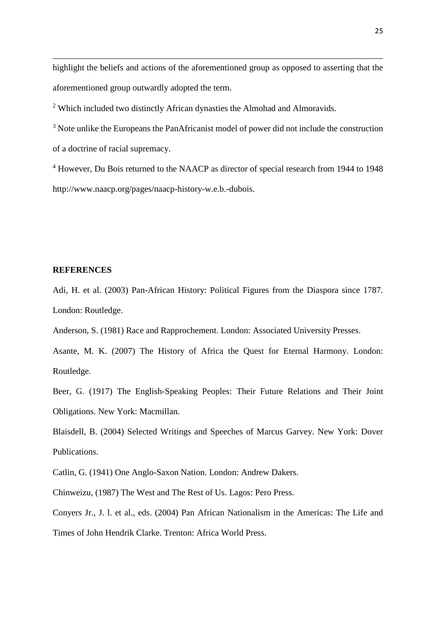highlight the beliefs and actions of the aforementioned group as opposed to asserting that the aforementioned group outwardly adopted the term.

<sup>2</sup> Which included two distinctly African dynasties the Almohad and Almoravids.

<sup>3</sup> Note unlike the Europeans the PanAfricanist model of power did not include the construction of a doctrine of racial supremacy.

<sup>4</sup> However, Du Bois returned to the NAACP as director of special research from 1944 to 1948 http://www.naacp.org/pages/naacp-history-w.e.b.-dubois.

### **REFERENCES**

<span id="page-24-0"></span><u>.</u>

Adi, H. et al. (2003) Pan-African History: Political Figures from the Diaspora since 1787*.* London: Routledge.

Anderson, S. (1981) Race and Rapprochement. London: Associated University Presses.

Asante, M. K. (2007) The History of Africa the Quest for Eternal Harmony. London: Routledge.

Beer, G. (1917) The English-Speaking Peoples: Their Future Relations and Their Joint Obligations. New York: Macmillan.

Blaisdell, B. (2004) Selected Writings and Speeches of Marcus Garvey. New York: Dover Publications.

Catlin, G. (1941) One Anglo-Saxon Nation. London: Andrew Dakers.

Chinweizu, (1987) The West and The Rest of Us. Lagos: Pero Press.

Conyers Jr., J. l. et al., eds. (2004) Pan African Nationalism in the Americas: The Life and Times of John Hendrik Clarke. Trenton: Africa World Press.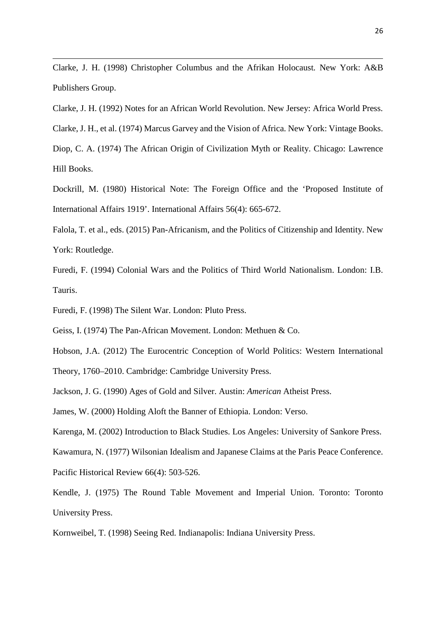Clarke, J. H. (1998) Christopher Columbus and the Afrikan Holocaust*.* New York: A&B Publishers Group.

Clarke, J. H. (1992) Notes for an African World Revolution. New Jersey: Africa World Press.

Clarke, J. H., et al. (1974) Marcus Garvey and the Vision of Africa. New York: Vintage Books.

Diop, C. A. (1974) The African Origin of Civilization Myth or Reality. Chicago: Lawrence Hill Books.

Dockrill, M. (1980) Historical Note: The Foreign Office and the 'Proposed Institute of International Affairs 1919'. International Affairs 56(4): 665-672.

Falola, T. et al., eds. (2015) Pan-Africanism, and the Politics of Citizenship and Identity. New York: Routledge.

Furedi, F. (1994) Colonial Wars and the Politics of Third World Nationalism. London: I.B. Tauris.

Furedi, F. (1998) The Silent War. London: Pluto Press.

<u>.</u>

Geiss, I. (1974) The Pan-African Movement. London: Methuen & Co.

Hobson, J.A. (2012) The Eurocentric Conception of World Politics: Western International

Theory, 1760–2010. Cambridge: Cambridge University Press.

Jackson, J. G. (1990) Ages of Gold and Silver. Austin: *American* Atheist Press.

James, W. (2000) Holding Aloft the Banner of Ethiopia. London: Verso.

Karenga, M. (2002) Introduction to Black Studies. Los Angeles: University of Sankore Press.

Kawamura, N. (1977) Wilsonian Idealism and Japanese Claims at the Paris Peace Conference. Pacific Historical Review 66(4): 503-526.

Kendle, J. (1975) The Round Table Movement and Imperial Union. Toronto: Toronto University Press.

Kornweibel, T. (1998) Seeing Red. Indianapolis: Indiana University Press.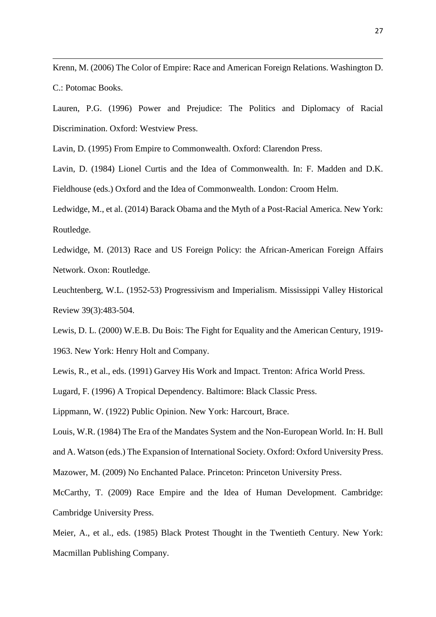Krenn, M. (2006) The Color of Empire: Race and American Foreign Relations. Washington D. C.: Potomac Books.

Lauren, P.G. (1996) Power and Prejudice: The Politics and Diplomacy of Racial Discrimination. Oxford: Westview Press.

Lavin, D. (1995) From Empire to Commonwealth. Oxford: Clarendon Press.

<u>.</u>

Lavin, D. (1984) Lionel Curtis and the Idea of Commonwealth. In: F. Madden and D.K. Fieldhouse (eds.) Oxford and the Idea of Commonwealth. London: Croom Helm.

Ledwidge, M., et al. (2014) Barack Obama and the Myth of a Post-Racial America. New York: Routledge.

Ledwidge, M. (2013) Race and US Foreign Policy: the African-American Foreign Affairs Network. Oxon: Routledge.

Leuchtenberg, W.L. (1952-53) Progressivism and Imperialism. Mississippi Valley Historical Review 39(3):483-504.

Lewis, D. L. (2000) W.E.B. Du Bois: The Fight for Equality and the American Century, 1919- 1963. New York: Henry Holt and Company.

Lewis, R., et al., eds. (1991) Garvey His Work and Impact. Trenton: Africa World Press.

Lugard, F. (1996) A Tropical Dependency. Baltimore: Black Classic Press.

Lippmann, W. (1922) Public Opinion. New York: Harcourt, Brace.

Louis, W.R. (1984) The Era of the Mandates System and the Non-European World. In: H. Bull and A. Watson (eds.) The Expansion of International Society. Oxford: Oxford University Press. Mazower, M. (2009) No Enchanted Palace. Princeton: Princeton University Press.

McCarthy, T. (2009) Race Empire and the Idea of Human Development. Cambridge: Cambridge University Press.

Meier, A., et al., eds. (1985) Black Protest Thought in the Twentieth Century. New York: Macmillan Publishing Company.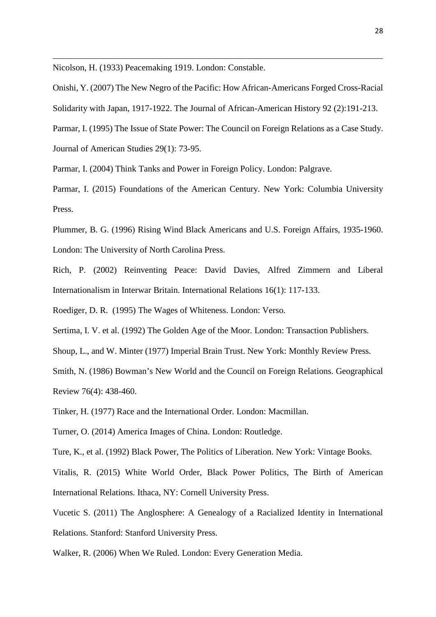Nicolson, H. (1933) Peacemaking 1919. London: Constable.

Onishi, Y. (2007) The New Negro of the Pacific: How African-Americans Forged Cross-Racial

Solidarity with Japan, 1917-1922. The Journal of African-American History 92 (2):191-213.

Parmar, I. (1995) The Issue of State Power: The Council on Foreign Relations as a Case Study.

Journal of American Studies 29(1): 73-95.

<u>.</u>

Parmar, I. (2004) Think Tanks and Power in Foreign Policy. London: Palgrave.

Parmar, I. (2015) Foundations of the American Century. New York: Columbia University Press.

Plummer, B. G. (1996) Rising Wind Black Americans and U.S. Foreign Affairs, 1935-1960. London: The University of North Carolina Press.

Rich, P. (2002) Reinventing Peace: David Davies, Alfred Zimmern and Liberal Internationalism in Interwar Britain. International Relations 16(1): 117-133.

Roediger, D. R. (1995) The Wages of Whiteness. London: Verso.

Sertima, I. V. et al. (1992) The Golden Age of the Moor. London: Transaction Publishers.

Shoup, L., and W. Minter (1977) Imperial Brain Trust. New York: Monthly Review Press.

Smith, N. (1986) Bowman's New World and the Council on Foreign Relations. Geographical Review 76(4): 438-460.

Tinker, H. (1977) Race and the International Order. London: Macmillan.

Turner, O. (2014) America Images of China. London: Routledge.

Ture, K., et al. (1992) Black Power, The Politics of Liberation. New York: Vintage Books.

Vitalis, R. (2015) White World Order, Black Power Politics, The Birth of American International Relations. Ithaca, NY: Cornell University Press.

Vucetic S. (2011) The Anglosphere: A Genealogy of a Racialized Identity in International Relations. Stanford: Stanford University Press.

Walker, R. (2006) When We Ruled. London: Every Generation Media.